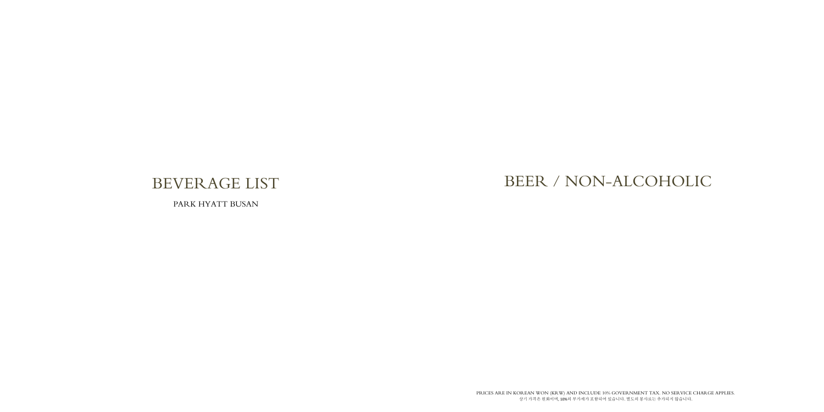PRICES ARE IN KOREAN WON (KRW) AND INCLUDE 10% GOVERNMENT TAX. NO SERVICE CHARGE APPLIES. 상기 가격은 원화이며, 10%의 부가세가 포함되어 있습니다. 별도의 봉사료는 추가되지 않습니다.

# BEVERAGE LIST

PARK HYATT BUSAN

# BEER / NON-ALCOHOLIC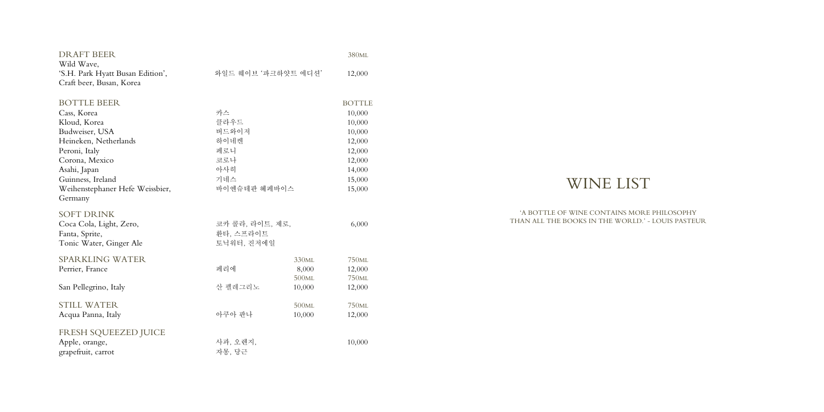| <b>DRAFT BEER</b>                |                     |                   | 380 <sub>ML</sub>           |
|----------------------------------|---------------------|-------------------|-----------------------------|
| Wild Wave,                       |                     |                   |                             |
| 'S.H. Park Hyatt Busan Edition', | 와일드 웨이브 '파크하얏트 에디션' |                   | 12,000                      |
| Craft beer, Busan, Korea         |                     |                   |                             |
| <b>BOTTLE BEER</b>               |                     |                   | <b>BOTTLE</b>               |
| Cass, Korea                      | 카스                  |                   | 10,000                      |
| Kloud, Korea                     | 클라우드                |                   | 10,000                      |
| Budweiser, USA                   | 버드와이저               |                   | 10,000                      |
| Heineken, Netherlands            | 하이네켄                |                   | 12,000                      |
| Peroni, Italy                    | 페로니                 |                   | 12,000                      |
| Corona, Mexico                   | 코로나                 |                   | 12,000                      |
| Asahi, Japan                     | 아사히                 |                   | 14,000                      |
| Guinness, Ireland                | 기네스                 |                   | 15,000                      |
| Weihenstephaner Hefe Weissbier,  | 바이엔슈테판 헤페바이스        |                   | 15,000                      |
| Germany                          |                     |                   |                             |
| <b>SOFT DRINK</b>                |                     |                   |                             |
| Coca Cola, Light, Zero,          | 코카 콜라, 라이트, 제로,     |                   | 6,000                       |
| Fanta, Sprite,                   | 환타, 스프라이트           |                   |                             |
| Tonic Water, Ginger Ale          | 토닉워터, 진저에일          |                   |                             |
| <b>SPARKLING WATER</b>           |                     | 330 <sub>ML</sub> | 750 <sub>ML</sub>           |
|                                  | 페리에                 | 8,000             |                             |
| Perrier, France                  |                     | 500ML             | 12,000<br>750 <sub>ML</sub> |
| San Pellegrino, Italy            | 산 펠레그리노             | 10,000            | 12,000                      |
|                                  |                     |                   |                             |
| <b>STILL WATER</b>               |                     | 500ML             | 750 <sub>ML</sub>           |
| Acqua Panna, Italy               | 아쿠아 판나              | 10,000            | 12,000                      |
| FRESH SQUEEZED JUICE             |                     |                   |                             |
| Apple, orange,                   | 사과, 오렌지,            |                   | 10,000                      |
| grapefruit, carrot               | 자몽, 당근              |                   |                             |
|                                  |                     |                   |                             |

# WINE LIST

'A BOTTLE OF WINE CONTAINS MORE PHILOSOPHY

# THAN ALL THE BOOKS IN THE WORLD.' - LOUIS PASTEUR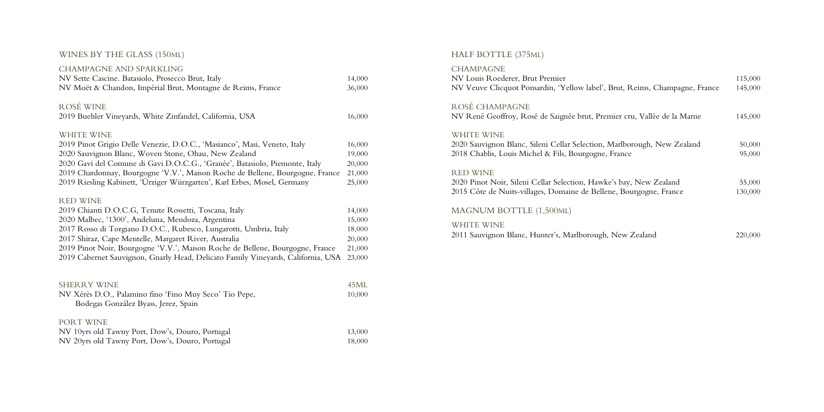#### WINES BY THE GLASS (150ML)

| <b>CHAMPAGNE AND SPARKLING</b>                                                   |        |
|----------------------------------------------------------------------------------|--------|
| NV Sette Cascine. Batasiolo, Prosecco Brut, Italy                                | 14,000 |
| NV Moët & Chandon, Impérial Brut, Montagne de Reims, France                      | 36,000 |
| ROSÉ WINE                                                                        |        |
| 2019 Buehler Vineyards, White Zinfandel, California, USA                         | 16,000 |
| <b>WHITE WINE</b>                                                                |        |
| 2019 Pinot Grigio Delle Venezie, D.O.C., 'Masianco', Masi, Veneto, Italy         | 16,000 |
| 2020 Sauvignon Blanc, Woven Stone, Ohau, New Zealand                             | 19,000 |
| 2020 Gavi del Comune di Gavi D.O.C.G., 'Granée', Batasiolo, Piemonte, Italy      | 20,000 |
| 2019 Chardonnay, Bourgogne 'V.V.', Maison Roche de Bellene, Bourgogne, France    | 21,000 |
| 2019 Riesling Kabinett, 'Ürziger Würzgarten', Karl Erbes, Mosel, Germany         | 25,000 |
| <b>RED WINE</b>                                                                  |        |
| 2019 Chianti D.O.C.G, Tenute Rossetti, Toscana, Italy                            | 14,000 |
| 2020 Malbec, '1300', Andeluna, Mendoza, Argentina                                | 15,000 |
| 2017 Rosso di Torgiano D.O.C., Rubesco, Lungarotti, Umbria, Italy                | 18,000 |
| 2017 Shiraz, Cape Mentelle, Margaret River, Australia                            | 20,000 |
| 2019 Pinot Noir, Bourgogne 'V.V.', Maison Roche de Bellene, Bourgogne, France    | 21,000 |
| 2019 Cabernet Sauvignon, Gnarly Head, Delicato Family Vineyards, California, USA | 23,000 |
| <b>SHERRY WINE</b>                                                               | 45ML   |

| NV Xérès D.O., Palamino fino 'Fino Muy Seco' Tio Pepe, | 10,000 |
|--------------------------------------------------------|--------|
| Bodegas González Byass, Jerez, Spain                   |        |
| PORT WINE                                              |        |
| NV 10yrs old Tawny Port, Dow's, Douro, Portugal        | 13,000 |
| NV 20yrs old Tawny Port, Dow's, Douro, Portugal        | 18,000 |

### HALF BOTTLE (375ML)

#### CHAMPAGNE

NV Louis Roederer, Brut Premier NV Veuve Clicquot Ponsardin, 'Yellow label', Brut,

## ROSÉ CHAMPAGNE

NV René Geoffroy, Rosé de Saignée brut, Premier

#### WHITE WINE

2020 Sauvignon Blanc, Sileni Cellar Selection, Marlb 2018 Chablis, Louis Michel & Fils, Bourgogne, Fran

#### RED WINE

2020 Pinot Noir, Sileni Cellar Selection, Hawke's ba 2015 Côte de Nuits-villages, Domaine de Bellene, B

### MAGNUM BOTTLE (1,500ML)

#### WHITE WINE

2011 Sauvignon Blanc, Hunter's, Marlborough, New Zealand 220,000

| , Reims, Champagne, France | 115,000<br>145,000 |
|----------------------------|--------------------|
| cru, Vallée de la Marne    | 145,000            |
| borough, New Zealand       | 50,000             |
| ıce                        | 95,000             |
| ay, New Zealand            | 55,000             |
| Bourgogne, France          | 130,000            |

| <sup>7</sup> Zealand | 220 |
|----------------------|-----|
|----------------------|-----|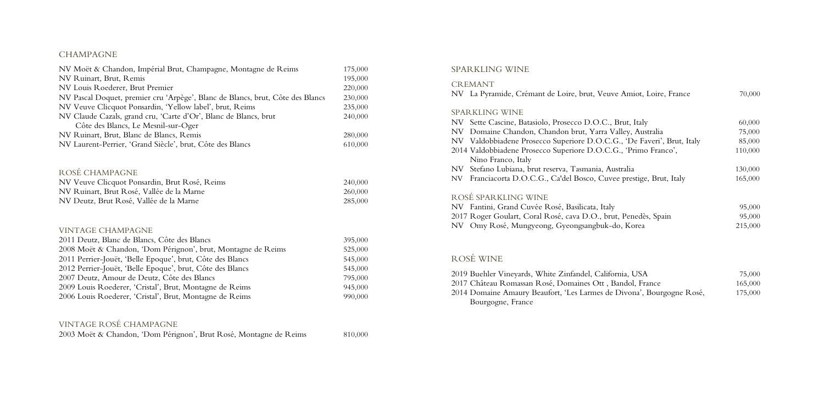#### CHAMPAGNE

| NV Moët & Chandon, Impérial Brut, Champagne, Montagne de Reims                                                                                                                                        | 175,000                                  |
|-------------------------------------------------------------------------------------------------------------------------------------------------------------------------------------------------------|------------------------------------------|
| NV Ruinart, Brut, Remis                                                                                                                                                                               |                                          |
| NV Louis Roederer, Brut Premier                                                                                                                                                                       | 220,000                                  |
| NV Pascal Doquet, premier cru 'Arpège', Blanc de Blancs, brut, Côte des Blancs                                                                                                                        | 230,000                                  |
| NV Veuve Clicquot Ponsardin, 'Yellow label', brut, Reims                                                                                                                                              | 235,000                                  |
| NV Claude Cazals, grand cru, 'Carte d'Or', Blanc de Blancs, brut                                                                                                                                      | 240,000                                  |
| Côte des Blancs, Le Mesnil-sur-Oger                                                                                                                                                                   |                                          |
| NV Ruinart, Brut, Blanc de Blancs, Remis                                                                                                                                                              | 280,000                                  |
| NV Laurent-Perrier, 'Grand Siècle', brut, Côte des Blancs                                                                                                                                             | 610,000                                  |
| ROSÉ CHAMPAGNE<br>NV Veuve Clicquot Ponsardin, Brut Rosé, Reims<br>NV Ruinart, Brut Rosé, Vallée de la Marne<br>NV Deutz, Brut Rosé, Vallée de la Marne                                               | 240,000<br>260,000<br>285,000            |
| <b>VINTAGE CHAMPAGNE</b><br>2011 Deutz, Blanc de Blancs, Côte des Blancs<br>2008 Moët & Chandon, 'Dom Pérignon', brut, Montagne de Reims<br>2011 Perrier-Jouët, 'Belle Epoque', brut, Côte des Blancs | 395,000<br>525,000<br>545,000<br>545,000 |
| 2012 Perrier-Jouët, 'Belle Epoque', brut, Côte des Blancs                                                                                                                                             |                                          |
| 2007 Deutz, Amour de Deutz, Côte des Blancs                                                                                                                                                           |                                          |
| 2009 Louis Roederer, 'Cristal', Brut, Montagne de Reims                                                                                                                                               | 945,000                                  |
| 2006 Louis Roederer, 'Cristal', Brut, Montagne de Reims                                                                                                                                               | 990,000                                  |
|                                                                                                                                                                                                       |                                          |

2019 Buehler Vineyards, White Zinfandel, Californi 2017 Château Romassan Rosé, Domaines Ott, Ban 2014 Domaine Amaury Beaufort, 'Les Larmes de Di Bourgogne, France

| Amiot, Loire, France       | 70,000  |
|----------------------------|---------|
|                            |         |
| ut, Italy                  | 60,000  |
| ey, Australia              | 75,000  |
| , 'De Faveri', Brut, Italy | 85,000  |
| , 'Primo Franco',          | 110,000 |
| alia                       | 130,000 |
| prestige, Brut, Italy      | 165,000 |
|                            |         |
|                            | 95,000  |
| Penedès, Spain             | 95,000  |
| Korea                      | 215,000 |
|                            |         |
|                            |         |
| ia, USA                    | 75,000  |
| ıdol, France               | 165,000 |
| ivona', Bourgogne Rosé,    | 175,000 |
|                            |         |

#### VINTAGE ROSÉ CHAMPAGNE

|  |  | 2003 Moët & Chandon, 'Dom Pérignon', Brut Rosé, Montagne de Reims | 810,000 |
|--|--|-------------------------------------------------------------------|---------|
|--|--|-------------------------------------------------------------------|---------|

#### SPARKLING WINE

#### CREMANT

NV La Pyramide, Crémant de Loire, brut, Veuve Amiot, Loire, France 70,000

#### SPARKLING WINE

- NV Sette Cascine, Batasiolo, Prosecco D.O.C., Bru
- NV Domaine Chandon, Chandon brut, Yarra Vall
- NV Valdobbiadene Prosecco Superiore D.O.C.G.
- 2014 Valdobbiadene Prosecco Superiore D.O.C.G., Nino Franco, Italy
- NV Stefano Lubiana, brut reserva, Tasmania, Australia
- NV Franciacorta D.O.C.G., Ca'del Bosco, Cuvee

### ROSÉ SPARKLING WINE

NV Fantini, Grand Cuvée Rosé, Basilicata, Italy 2017 Roger Goulart, Coral Rosé, cava D.O., brut, NV Omy Rosé, Mungyeong, Gyeongsangbuk-do,

### ROSÉ WINE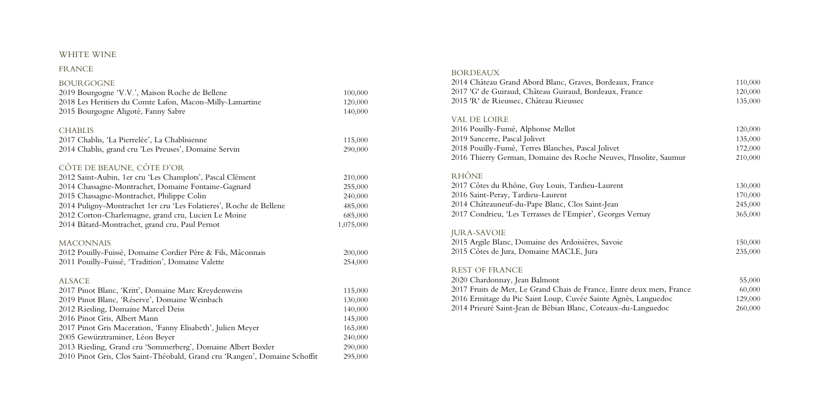#### WHITE WINE

#### FRANCE

| <b>BOURGOGNE</b>                                                           |           |
|----------------------------------------------------------------------------|-----------|
| 2019 Bourgogne 'V.V.', Maison Roche de Bellene                             | 100,000   |
| 2018 Les Heritiers du Comte Lafon, Macon-Milly-Lamartine                   | 120,000   |
| 2015 Bourgogne Aligoté, Fanny Sabre                                        | 140,000   |
| <b>CHABLIS</b>                                                             |           |
| 2017 Chablis, 'La Pierrelée', La Chablisienne                              | 115,000   |
| 2014 Chablis, grand cru 'Les Preuses', Domaine Servin                      | 290,000   |
| CÔTE DE BEAUNE, CÔTE D'OR                                                  |           |
| 2012 Saint-Aubin, 1er cru 'Les Champlots', Pascal Clément                  | 210,000   |
| 2014 Chassagne-Montrachet, Domaine Fontaine-Gagnard                        | 255,000   |
| 2015 Chassagne-Montrachet, Philippe Colin                                  | 240,000   |
| 2014 Puligny-Montrachet 1er cru 'Les Folatieres', Roche de Bellene         | 485,000   |
| 2012 Corton-Charlemagne, grand cru, Lucien Le Moine                        | 685,000   |
| 2014 Bâtard-Montrachet, grand cru, Paul Pernot                             | 1,075,000 |
| <b>MACONNAIS</b>                                                           |           |
| 2012 Pouilly-Fuissé, Domaine Cordier Père & Fils, Mâconnais                | 200,000   |
| 2011 Pouilly-Fuissé, 'Tradition', Domaine Valette                          | 254,000   |
| <b>ALSACE</b>                                                              |           |
| 2017 Pinot Blanc, 'Kritt', Domaine Marc Kreydenweiss                       | 115,000   |
| 2019 Pinot Blanc, 'Réserve', Domaine Weinbach                              | 130,000   |
| 2012 Riesling, Domaine Marcel Deiss                                        | 140,000   |
| 2016 Pinot Gris, Albert Mann                                               | 145,000   |
| 2017 Pinot Gris Maceration, 'Fanny Elisabeth', Julien Meyer                | 165,000   |
| 2005 Gewürztraminer, Léon Beyer                                            | 240,000   |
| 2013 Riesling, Grand cru 'Sommerberg', Domaine Albert Boxler               | 290,000   |
| 2010 Pinot Gris, Clos Saint-Théobald, Grand cru 'Rangen', Domaine Schoffit | 295,000   |

 Pouilly - Fumé, Alphonse Mellot 120,000 9 Sancerre, Pascal Jolivet Pouilly - Fumé, Terres Blanches, Pascal Jolivet 2016 Thierry German, Domaine des Roche Neuves.

2020 Chardonnay, Jean Balmont 201 7 Fruits de Mer, Le Grand Chais de France, Entre deux mers, France 60,000 2016 Ermitage du Pic Saint Loup, Cuvée Sainte Agn 2014 Prieuré Saint -Jean de Bébian Blanc, Coteaux -du

#### BORDEAUX

2014 Château Grand Abord Blanc, Graves, Bordeaux, France 110,000 201 7 'G' de Guiraud, Château Guiraud, Bordeaux, France 120,000 2015 ' R' de Rieussec, Château Rieussec 135,000

#### VAL DE LOIRE

### RHÔNE

 7 Côtes du Rhône, Guy Louis, Tardieu - Laurent 2016 Saint -Peray, Tardieu - Laurent 170,000 Châteauneuf-du - Pape Blanc, Clos Saint -Jean 245,000 7 Condrieu, 'Les Terrasses de l 'Empier ', Georges Vernay 365,000

| x, France             | 110,000 |
|-----------------------|---------|
| France                | 120,000 |
|                       | 135,000 |
|                       |         |
|                       |         |
|                       | 120,000 |
|                       | 135,000 |
|                       | 172,000 |
| s, l'Insolite, Saumur | 210,000 |
|                       |         |
|                       |         |
|                       | 130,000 |
|                       | 170,000 |
|                       | 245,000 |
| s Vernay              | 365,000 |
|                       |         |
|                       |         |
|                       | 150,000 |
|                       | 235,000 |
|                       |         |
|                       |         |
|                       | 55,000  |
| re deux mers, France  | 60,000  |
| nès, Languedoc        | 129,000 |
| du-Languedoc          | 260,000 |

#### JURA -SAVOIE

2015 Argile Blanc, Domaine des Ardoisières, Savoie 150,000 201 5 Côtes de Jura, Domaine MACLE, Jura 235,000

#### REST OF FRANCE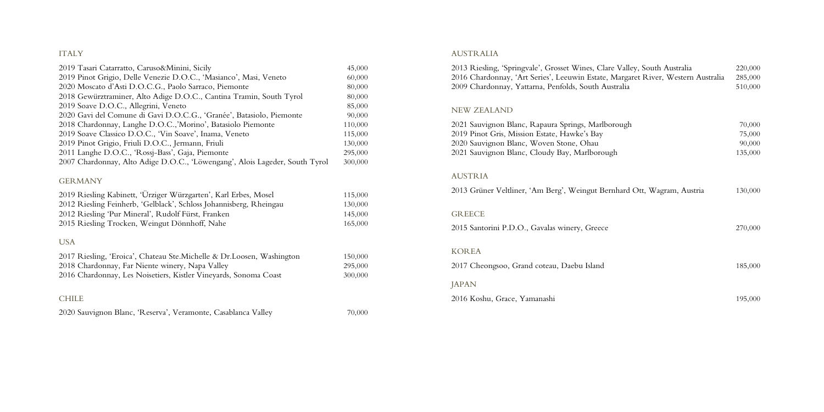#### ITALY

| 2019 Pinot Grigio, Delle Venezie D.O.C., 'Masianco', Masi, Veneto<br>2020 Moscato d'Asti D.O.C.G., Paolo Sarraco, Piemonte<br>2018 Gewürztraminer, Alto Adige D.O.C., Cantina Tramin, South Tyrol<br>2019 Soave D.O.C., Allegrini, Veneto<br>2020 Gavi del Comune di Gavi D.O.C.G., 'Granée', Batasiolo, Piemonte<br>2018 Chardonnay, Langhe D.O.C.,'Morino', Batasiolo Piemonte<br>2019 Soave Classico D.O.C., 'Vin Soave', Inama, Veneto<br>2019 Pinot Grigio, Friuli D.O.C., Jermann, Friuli<br>2011 Langhe D.O.C., 'Rossj-Bass', Gaja, Piemonte<br>2007 Chardonnay, Alto Adige D.O.C., 'Löwengang', Alois Lageder, South Tyrol | 2019 Tasari Catarratto, Caruso&Minini, Sicily | 45,000  |
|------------------------------------------------------------------------------------------------------------------------------------------------------------------------------------------------------------------------------------------------------------------------------------------------------------------------------------------------------------------------------------------------------------------------------------------------------------------------------------------------------------------------------------------------------------------------------------------------------------------------------------|-----------------------------------------------|---------|
|                                                                                                                                                                                                                                                                                                                                                                                                                                                                                                                                                                                                                                    |                                               | 60,000  |
|                                                                                                                                                                                                                                                                                                                                                                                                                                                                                                                                                                                                                                    |                                               | 80,000  |
|                                                                                                                                                                                                                                                                                                                                                                                                                                                                                                                                                                                                                                    |                                               | 80,000  |
|                                                                                                                                                                                                                                                                                                                                                                                                                                                                                                                                                                                                                                    |                                               | 85,000  |
|                                                                                                                                                                                                                                                                                                                                                                                                                                                                                                                                                                                                                                    |                                               | 90,000  |
|                                                                                                                                                                                                                                                                                                                                                                                                                                                                                                                                                                                                                                    |                                               | 110,000 |
|                                                                                                                                                                                                                                                                                                                                                                                                                                                                                                                                                                                                                                    |                                               | 115,000 |
|                                                                                                                                                                                                                                                                                                                                                                                                                                                                                                                                                                                                                                    |                                               | 130,000 |
|                                                                                                                                                                                                                                                                                                                                                                                                                                                                                                                                                                                                                                    |                                               | 295,000 |
|                                                                                                                                                                                                                                                                                                                                                                                                                                                                                                                                                                                                                                    |                                               | 300,000 |
|                                                                                                                                                                                                                                                                                                                                                                                                                                                                                                                                                                                                                                    |                                               |         |

#### GERMANY

| 2019 Riesling Kabinett, 'Ürziger Würzgarten', Karl Erbes, Mosel              | 115,000 |
|------------------------------------------------------------------------------|---------|
| 2012 Riesling Feinherb, 'Gelblack', Schloss Johannisberg, Rheingau           | 130,000 |
| 2012 Riesling 'Pur Mineral', Rudolf Fürst, Franken                           | 145,000 |
| 2015 Riesling Trocken, Weingut Dönnhoff, Nahe                                | 165,000 |
| USA<br>2017 Riesling, 'Eroica', Chateau Ste.Michelle & Dr.Loosen, Washington | 150,000 |
| 2018 Chardonnay, Far Niente winery, Napa Valley                              | 295,000 |
| 2016 Chardonnay, Les Noisetiers, Kistler Vineyards, Sonoma Coast             | 300,000 |
| <b>CHILE</b>                                                                 |         |

2020 Sauvignon Blanc, 'Reserva', Veramonte, Casablanca Valley 70,000

#### AUSTRALIA

2013 Riesling, 'Springvale', Grosset Wines, Clare Va 2016 Chardonnay, 'Art Series', Leeuwin Estate, Mar 2009 Chardonnay, Yattarna, Penfolds, South Austral

#### NEW ZEALAND

2021 Sauvignon Blanc, Rapaura Springs, Marlborou 2019 Pinot Gris, Mission Estate, Hawke's Bay 2020 Sauvignon Blanc, Woven Stone, Ohau 2021 Sauvignon Blanc, Cloudy Bay, Marlborough

#### AUSTRIA

2013 Grüner Veltliner, 'Am Berg', Weingut Bernhard

#### GREECE

2015 Santorini P.D.O., Gavalas winery, Greece

#### KOREA

2017 Cheongsoo, Grand coteau, Daebu Island

#### JAPAN

2016 Koshu, Grace, Yamanashi 195,000

| alley, South Australia<br>rgaret River, Western Australia<br>lia | 220,000<br>285,000<br>510,000         |
|------------------------------------------------------------------|---------------------------------------|
| ıgh                                                              | 70,000<br>75,000<br>90,000<br>135,000 |
| ırd Ott, Wagram, Austria                                         | 130,000                               |
|                                                                  | 270,000                               |
|                                                                  | 185,000                               |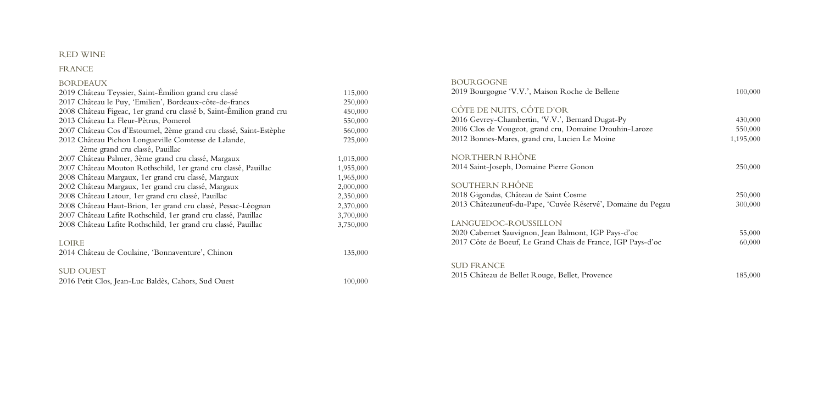### RED WINE

### FRANCE

| <b>BORDEAUX</b>                                                      |           |
|----------------------------------------------------------------------|-----------|
| 2019 Château Teyssier, Saint-Émilion grand cru classé                | 115,000   |
| 2017 Château le Puy, 'Emilien', Bordeaux-côte-de-francs              | 250,000   |
| 2008 Château Figeac, 1er grand cru classé b, Saint-Émilion grand cru | 450,000   |
| 2013 Château La Fleur-Pètrus, Pomerol                                | 550,000   |
| 2007 Château Cos d'Estournel, 2ème grand cru classé, Saint-Estèphe   | 560,000   |
| 2012 Château Pichon Longueville Comtesse de Lalande,                 | 725,000   |
| 2ème grand cru classé, Pauillac                                      |           |
| 2007 Château Palmer, 3ème grand cru classé, Margaux                  | 1,015,000 |
| 2007 Château Mouton Rothschild, 1er grand cru classé, Pauillac       | 1,955,000 |
| 2008 Château Margaux, 1er grand cru classé, Margaux                  | 1,965,000 |
| 2002 Château Margaux, 1er grand cru classé, Margaux                  | 2,000,000 |
| 2008 Château Latour, 1er grand cru classé, Pauillac                  | 2,350,000 |
| 2008 Château Haut-Brion, 1er grand cru classé, Pessac-Léognan        | 2,370,000 |
| 2007 Château Lafite Rothschild, 1er grand cru classé, Pauillac       | 3,700,000 |
| 2008 Château Lafite Rothschild, 1er grand cru classé, Pauillac       | 3,750,000 |
| <b>LOIRE</b>                                                         |           |
| 2014 Château de Coulaine, 'Bonnaventure', Chinon                     | 135,000   |
| <b>SUD OUEST</b>                                                     |           |

## 201 6 Petit Clos, Jean - Luc Baldès, Cahors, Sud O u

100,000

### BOURGOGNE 201 9 Bourgogne ' V . V.', Ma ison Roche de Bellene 100,000

| CÔTE DE NUITS, CÔTE D'OR<br>2016 Gevrey-Chambertin, 'V.V.', Bernard Dugat-Py<br>2006 Clos de Vougeot, grand cru, Domaine Drouhin-<br>2012 Bonnes-Mares, grand cru, Lucien Le Moine |
|------------------------------------------------------------------------------------------------------------------------------------------------------------------------------------|
| NORTHERN RHÔNE<br>2014 Saint-Joseph, Domaine Pierre Gonon                                                                                                                          |
| SOUTHERN RHÔNE<br>2018 Gigondas, Château de Saint Cosme<br>2013 Châteauneuf-du-Pape, 'Cuvée Réservé', Domair                                                                       |
| LANGUEDOC-ROUSSILLON                                                                                                                                                               |

| ITS, CÔTE D'OR                                |           |
|-----------------------------------------------|-----------|
| nambertin, 'V.V.', Bernard Dugat-Py           | 430,000   |
| ougeot, grand cru, Domaine Drouhin-Laroze     | 550,000   |
| ares, grand cru, Lucien Le Moine              | 1,195,000 |
| RHÔNE                                         |           |
| h, Domaine Pierre Gonon                       | 250,000   |
| <b>lhône</b>                                  |           |
| Château de Saint Cosme                        | 250,000   |
| uf-du-Pape, 'Cuvée Réservé', Domaine du Pegau | 300,000   |
| -ROUSSILLON                                   |           |
| Sauvignon, Jean Balmont, IGP Pays-d'oc        | 55,000    |
| beuf, Le Grand Chais de France, IGP Pays-d'oc | 60,000    |
|                                               |           |
| e Bellet Rouge, Bellet, Provence              | 185,000   |

2020 Cabernet Sauvignon, Jean Balmont, IGP Pays - d 201 7 Côte de Boeuf, Le Grand Chais de France, IGP Pays

SUD FRANCE 2015 Château de Bellet Rouge, Bellet, Provence 18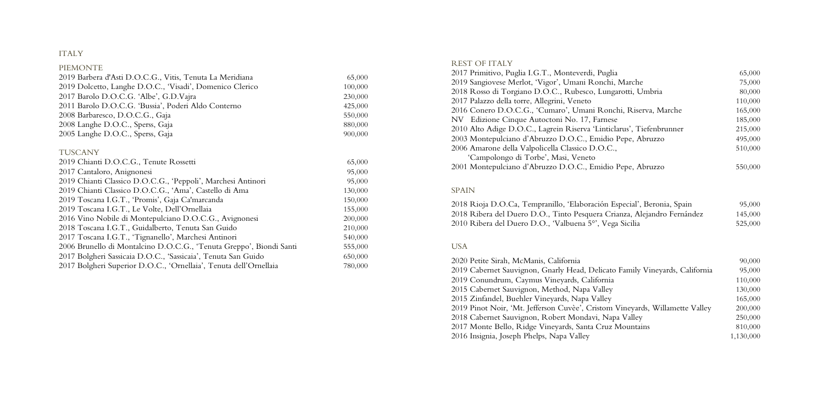#### ITALY

#### PIEMONTE 2019 Barbera d'Asti D.O.C.G., Vitis , Tenuta La Meridiana 65,000 2019 Dolcetto, Langhe D.O.C., 'Visadi', Domenico Clerico 100,000 201 7 Barolo D . O . C . G. ' Albe', G . D . 230,000 2011 Barolo D . O . C . G. ' Bussia', Poderi Aldo Conterno 42 5,000 2008 Barbaresco, D.O.C.G., 550,000 2008 Langhe D . O . C., Sperss, 880,000 200 5 Langhe D . O . C., Sperss, Gaja 90 900,000 **TUSCANY** 201 9 Chianti D.O.C.G ., Tenute Rossetti 6 5,000 2017 Cantaloro, Anignonesi 95,000 2019 Chianti Classico D.O.C.G., 'Peppoli', Marchesi Antinori 95,000 2019 Chianti Classico D.O.C.G., 'Ama', Castello di Ama 130,000 2019 Toscana I.G.T., 'Promis', Gaja Ca'marcanda 150,000 201 9 Toscana I . G . T., Le Volte, Dell' Ornellaia 155,000 2016 Vino Nobile di Montepulciano D . O . C . G., Avignonesi 200,000 2018 Toscana I.G.T., Guidalberto, Tenuta San 210,000 2017 Toscana I.G.T., 'Tignanello', Marchesi Antinori 540,000 2006 Brunello di Montalcino D . O . C . G., ' Tenuta Greppo', Biondi 555,000 2017 Bolgheri Sassicaia D.O.C., 'Sassicaia', Tenuta San Guido 650,000 2017 Bolgheri Superior D.O.C., 'Ornellaia', Tenuta dell'Ornellaia 780,000

2018 Rioja D . O . C a, Tempranillo, ' Elaboración Especial', 201 8 Ribera del Duero D . O., Tinto Pesquera Crianza, 2010 Ribera del Duero D.O., 'Valbuena 5°', Vega

#### REST OF ITALY

2020 Petite Sirah, McManis, California 2019 Cabernet Sauvignon, Gnarly Head, Delicato Fa 9 Conundrum, Caymus Vineyards, California 110,000 2015 Cabernet Sauvignon, Method, Napa Valley 5 Zinfandel, Buehler Vineyards, Napa Valley Pinot Noir, ' Mt. Jefferson Cuvèe', Cristom Vineyards, 8 Cabernet Sauvignon, Robert Mondavi, Napa Monte Bello, Ridge Vineyards, Santa Cruz Insignia, Joseph Phelps, Napa Valley 1,130,000

2017 Primitivo, Puglia I.G.T., Monteverdi, Puglia 65,000 2019 Sangiovese Merlot, 'Vigor', Umani Ronchi, M 201 8 Rosso di Torgiano D . O . C., Rubesco, Lungarotti, 201 7 Palazzo della torre, Allegrini, Veneto 110,000 2016 Conero D.O.C.G., 'Cumaro', Umani Ronchi, NV Edizione Cinque Autoctoni No. 17, Farnese 2010 Alto Adige D . O . C., Lagrein Riserva ' Linticlarus', 200 3 Montepulciano d' Abruzzo D . O . C., Emidio Pepe, Abruzzo 2006 Amarone della Valpolicella Classico D . O . ' Campolongo di Torbe', Masi, Veneto

2001 Montepulciano d' Abruzzo D . O . C., Emidio Pepe, Abruzzo

#### SPAIN

| gпа                              | <b>UUU,CO</b> |
|----------------------------------|---------------|
| hi, Marche                       | 75,000        |
| ngarotti, Umbria                 | 80,000        |
|                                  | 110,000       |
| onchi, Riserva, Marche           | 165,000       |
| ese                              | 185,000       |
| ticlarus', Tiefenbrunner         | 215,000       |
| io Pepe, Abruzzo                 | 495,000       |
| С.,                              | 510,000       |
| io Pepe, Abruzzo                 | 550,000       |
| n Especial', Beronia, Spain      | 95,000        |
| Crianza, Alejandro Fernández     | 145,000       |
| ega Sicilia                      | 525,000       |
|                                  |               |
|                                  | 90,000        |
| ato Family Vineyards, California | 95,000        |
| iia                              | 110,000       |
| эy                               | 130,000       |
| :y                               | 165,000       |
| m Vineyards, Willamette Valley   | 200,000       |
| Japa Valley                      | 250,000       |
| 1z Mountains                     | 810,000       |
|                                  | 1,130,000     |

#### USA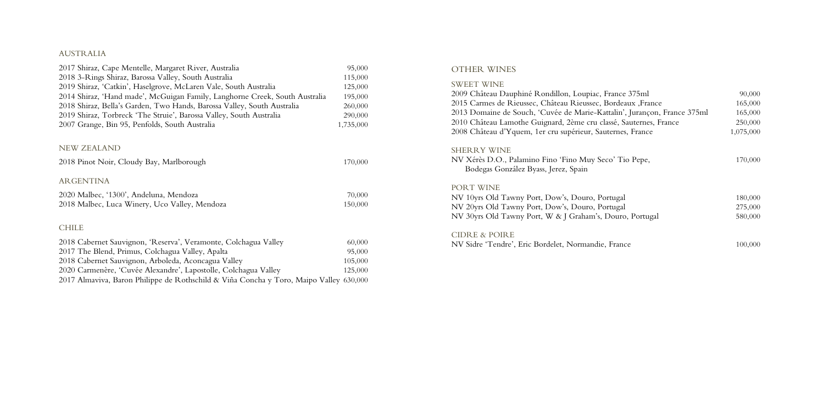#### AUSTRALIA

| 2017 Shiraz, Cape Mentelle, Margaret River, Australia                                  | 95,000    |
|----------------------------------------------------------------------------------------|-----------|
| 2018 3-Rings Shiraz, Barossa Valley, South Australia                                   | 115,000   |
| 2019 Shiraz, 'Catkin', Haselgrove, McLaren Vale, South Australia                       | 125,000   |
| 2014 Shiraz, 'Hand made', McGuigan Family, Langhorne Creek, South Australia            | 195,000   |
| 2018 Shiraz, Bella's Garden, Two Hands, Barossa Valley, South Australia                | 260,000   |
| 2019 Shiraz, Torbreck 'The Struie', Barossa Valley, South Australia                    | 290,000   |
| 2007 Grange, Bin 95, Penfolds, South Australia                                         | 1,735,000 |
|                                                                                        |           |
| <b>NEW ZEALAND</b>                                                                     |           |
| 2018 Pinot Noir, Cloudy Bay, Marlborough                                               | 170,000   |
| <b>ARGENTINA</b>                                                                       |           |
| 2020 Malbec, '1300', Andeluna, Mendoza                                                 | 70,000    |
| 2018 Malbec, Luca Winery, Uco Valley, Mendoza                                          | 150,000   |
|                                                                                        |           |
| <b>CHILE</b>                                                                           |           |
| 2018 Cabernet Sauvignon, 'Reserva', Veramonte, Colchagua Valley                        | 60,000    |
| 2017 The Blend, Primus, Colchagua Valley, Apalta                                       | 95,000    |
| 2018 Cabernet Sauvignon, Arboleda, Aconcagua Valley                                    | 105,000   |
| 2020 Carmenère, 'Cuvée Alexandre', Lapostolle, Colchagua Valley                        | 125,000   |
| 2017 Almaviva, Baron Philippe de Rothschild & Viña Concha y Toro, Maipo Valley 630,000 |           |

NV Xérès D.O., Palamino Fino 'Fino Muy Seco' Ti Bodegas González Byass, Jerez, Spain

#### OTHER WINES

#### SWEET WINE

2009 Château Dauphiné Rondillon, Loupiac, France 2015 Carmes de Rieussec, Château Rieussec, Borde 2013 Domaine de Souch, 'Cuvée de Marie-Kattalin' 2010 Château Lamothe Guignard, 2ème cru classé, 2008 Château d'Yquem, 1er cru supérieur, Sauternes

#### SHERRY WINE

#### PORT WINE

NV 10yrs Old Tawny Port, Dow's, Douro, Portugal NV 20yrs Old Tawny Port, Dow's, Douro, Portugal NV 30yrs Old Tawny Port, W & J Graham's, Douro

#### CIDRE & POIRE

NV Sidre 'Tendre', Eric Bordelet, Normandie, Fran

| e 375ml                   | 90,000    |
|---------------------------|-----------|
| eaux ,France              | 165,000   |
| ', Jurançon, France 375ml | 165,000   |
| Sauternes, France         | 250,000   |
| es, France                | 1,075,000 |
| io Pepe,                  | 170,000   |
| ւ1                        | 180,000   |
| ւ1                        | 275,000   |
| o, Portugal               | 580,000   |
| ice                       | 100,000   |
|                           |           |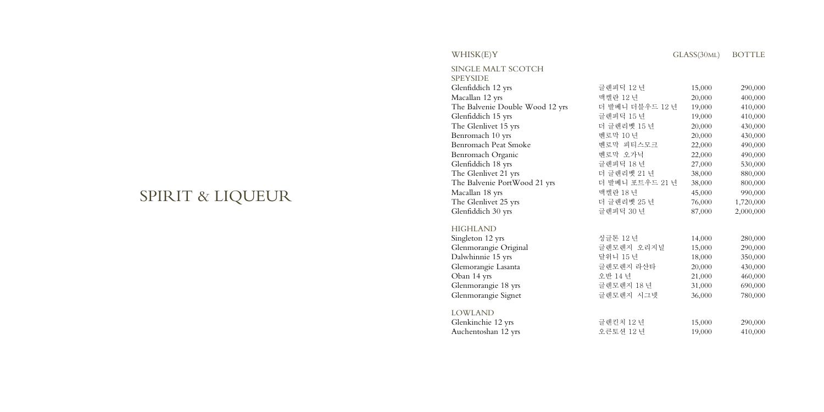# SPIRIT & LIQUEUR

## $WHISK(E)Y$

| SINGLE MALT SCOTCH              |       |
|---------------------------------|-------|
| <b>SPEYSIDE</b>                 |       |
| Glenfiddich 12 yrs              | 글렌피딕  |
| Macallan 12 yrs                 | 맥켈란 1 |
| The Balvenie Double Wood 12 yrs | 더 발베l |
| Glenfiddich 15 yrs              | 글렌피딕  |
| The Glenlivet 15 yrs            | 더 글렌i |
| Benromach 10 yrs                | 벤로막 1 |
| Benromach Peat Smoke            | 벤로막   |
| Benromach Organic               | 벤로막   |
| Glenfiddich 18 yrs              | 글렌피딕  |
| The Glenlivet 21 yrs            | 더 글렌i |
| The Balvenie PortWood 21 yrs    | 더 발베l |
| Macallan 18 yrs                 | 맥켈란 1 |
| The Glenlivet 25 yrs            | 더 글렌i |
| Glenfiddich 30 yrs              | 글렌피딕  |
| LIICLII ANID                    |       |

| Glenfiddich 12 yrs              | 글렌피딕 12 년       | 15,000 | 290,000   |
|---------------------------------|-----------------|--------|-----------|
| Macallan 12 yrs                 | 맥켈란 12 년        | 20,000 | 400,000   |
| The Balvenie Double Wood 12 yrs | 더 발베니 더블우드 12 년 | 19,000 | 410,000   |
| Glenfiddich 15 yrs              | 글렌피딕 15 년       | 19,000 | 410,000   |
| The Glenlivet 15 yrs            | 더 글렌리벳 15 년     | 20,000 | 430,000   |
| Benromach 10 yrs                | 벤로막 10 년        | 20,000 | 430,000   |
| Benromach Peat Smoke            | 벤로막 피티스모크       | 22,000 | 490,000   |
| Benromach Organic               | 벤로막 오가닉         | 22,000 | 490,000   |
| Glenfiddich 18 yrs              | 글렌피딕 18 년       | 27,000 | 530,000   |
| The Glenlivet 21 yrs            | 더 글렌리벳 21 년     | 38,000 | 880,000   |
| The Balvenie PortWood 21 yrs    | 더 발베니 포트우드 21 년 | 38,000 | 800,000   |
| Macallan 18 yrs                 | 맥켈란 18 년        | 45,000 | 990,000   |
| The Glenlivet 25 yrs            | 더 글렌리벳 25 년     | 76,000 | 1,720,000 |
| Glenfiddich 30 yrs              | 글렌피딕 30 년       | 87,000 | 2,000,000 |
| <b>HIGHLAND</b>                 |                 |        |           |
| Singleton 12 yrs                | 싱글톤 12 년        | 14,000 | 280,000   |
| Glenmorangie Original           | 글렌모렌지 오리지널      | 15,000 | 290,000   |
| Dalwhinnie 15 yrs               | 달위니 15 년        | 18,000 | 350,000   |
| Glemorangie Lasanta             | 글렌모렌지 라산타       | 20,000 | 430,000   |
| Oban 14 yrs                     | 오반 14 년         | 21,000 | 460,000   |
| Glenmorangie 18 yrs             | 글렌모렌지 18년       | 31,000 | 690,000   |
| Glenmorangie Signet             | 글렌모렌지 시그넷       | 36,000 | 780,000   |
| <b>LOWLAND</b>                  |                 |        |           |
| Glenkinchie 12 yrs              | 글렌킨치 12 년       | 15,000 | 290,000   |
| Auchentoshan 12 yrs             | 오큰토션 12 년       | 19,000 | 410,000   |

| 글렌피딕 12 년       | 15,000 | 290,000   |
|-----------------|--------|-----------|
| 맥켈란 12 년        | 20,000 | 400,000   |
| 더 발베니 더블우드 12 년 | 19,000 | 410,000   |
| 글렌피딕 15 년       | 19,000 | 410,000   |
| 더 글렌리벳 15 년     | 20,000 | 430,000   |
| 벤로막 10 년        | 20,000 | 430,000   |
| 벤로막 피티스모크       | 22,000 | 490,000   |
| 벤로막 오가닉         | 22,000 | 490,000   |
| 글렌피딕 18 년       | 27,000 | 530,000   |
| 더 글렌리벳 21 년     | 38,000 | 880,000   |
| 더 발베니 포트우드 21 년 | 38,000 | 800,000   |
| 맥켈란 18 년        | 45,000 | 990,000   |
| 더 글렌리벳 25 년     | 76,000 | 1,720,000 |
| 글렌피딕 30 년       | 87,000 | 2,000,000 |
|                 |        |           |
| 싱글톤 12 년        | 14,000 | 280,000   |
| 글렌모렌지 오리지널      | 15,000 | 290,000   |
| 달위니 15 년        | 18,000 | 350,000   |
| 글렌모렌지 라산타       | 20,000 | 430,000   |
| 오반 14 년         | 21,000 | 460,000   |
| 글렌모렌지 18 년      | 31,000 | 690,000   |
| 글렌모렌지 시그넷       | 36,000 | 780,000   |
|                 |        |           |
| 글렌킨치 12 년       | 15,000 | 290,000   |
| 오큰토션 12 년       | 19,000 | 410,000   |
|                 |        |           |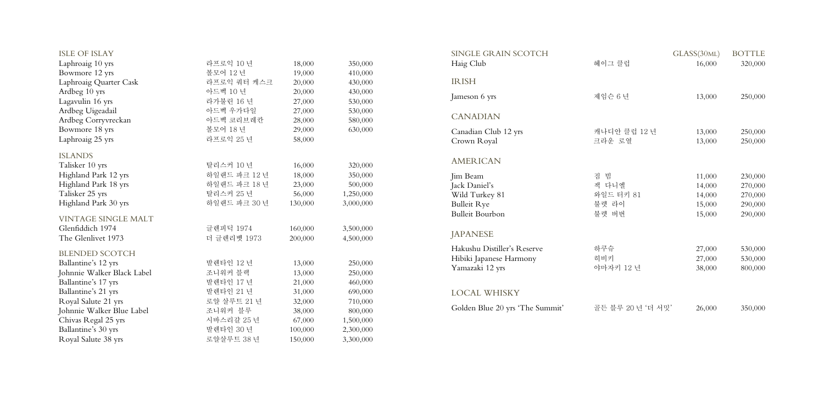| <b>ISLE OF ISLAY</b>       |              |         |           | SINGLE GRAIN SCOTCH             |                   | GLASS(30ML) | <b>BOTTLE</b> |
|----------------------------|--------------|---------|-----------|---------------------------------|-------------------|-------------|---------------|
| Laphroaig 10 yrs           | 라프로익 10 년    | 18,000  | 350,000   | Haig Club                       | 헤이그 클럽            | 16,000      | 320,000       |
| Bowmore 12 yrs             | 볼모어 12 년     | 19,000  | 410,000   |                                 |                   |             |               |
| Laphroaig Quarter Cask     | 라프로익 쿼터 케스크  | 20,000  | 430,000   | <b>IRISH</b>                    |                   |             |               |
| Ardbeg 10 yrs              | 아드벡 10 년     | 20,000  | 430,000   |                                 |                   |             |               |
| Lagavulin 16 yrs           | 라가불린 16 년    | 27,000  | 530,000   | Jameson 6 yrs                   | 제임슨 6 년           | 13,000      | 250,000       |
| Ardbeg Uigeadail           | 아드벡 우가다일     | 27,000  | 530,000   |                                 |                   |             |               |
| Ardbeg Corryvreckan        | 아드벡 코리브레칸    | 28,000  | 580,000   | <b>CANADIAN</b>                 |                   |             |               |
| Bowmore 18 yrs             | 볼모어 18 년     | 29,000  | 630,000   | Canadian Club 12 yrs            | 캐나디안 클럽 12 년      | 13,000      | 250,000       |
| Laphroaig 25 yrs           | 라프로익 25 년    | 58,000  |           | Crown Royal                     | 크라운 로열            | 13,000      | 250,000       |
| <b>ISLANDS</b>             |              |         |           |                                 |                   |             |               |
| Talisker 10 yrs            | 탈리스커 10 년    | 16,000  | 320,000   | <b>AMERICAN</b>                 |                   |             |               |
| Highland Park 12 yrs       | 하일랜드 파크 12 년 | 18,000  | 350,000   | Jim Beam                        | 짐 빔               | 11,000      | 230,000       |
| Highland Park 18 yrs       | 하일랜드 파크 18 년 | 23,000  | 500,000   | Jack Daniel's                   | 잭 다니엘             | 14,000      | 270,000       |
| Talisker 25 yrs            | 탈리스커 25 년    | 56,000  | 1,250,000 | Wild Turkey 81                  | 와일드 터키 81         | 14,000      | 270,000       |
| Highland Park 30 yrs       | 하일랜드 파크 30 년 | 130,000 | 3,000,000 | <b>Bulleit Rye</b>              | 불렛 라이             | 15,000      | 290,000       |
| VINTAGE SINGLE MALT        |              |         |           | <b>Bulleit Bourbon</b>          | 불렛 버번             | 15,000      | 290,000       |
| Glenfiddich 1974           | 글렌피딕 1974    | 160,000 | 3,500,000 |                                 |                   |             |               |
| The Glenlivet 1973         | 더 글렌리벳 1973  | 200,000 | 4,500,000 | <b>JAPANESE</b>                 |                   |             |               |
|                            |              |         |           | Hakushu Distiller's Reserve     | 하쿠슈               | 27,000      | 530,000       |
| <b>BLENDED SCOTCH</b>      |              |         |           | Hibiki Japanese Harmony         | 히비키               | 27,000      | 530,000       |
| Ballantine's 12 yrs        | 발렌타인 12 년    | 13,000  | 250,000   | Yamazaki 12 yrs                 | 야마자키 12 년         | 38,000      | 800,000       |
| Johnnie Walker Black Label | 조니워커 블랙      | 13,000  | 250,000   |                                 |                   |             |               |
| Ballantine's 17 yrs        | 발렌타인 17 년    | 21,000  | 460,000   |                                 |                   |             |               |
| Ballantine's 21 yrs        | 발렌타인 21 년    | 31,000  | 690,000   | <b>LOCAL WHISKY</b>             |                   |             |               |
| Royal Salute 21 yrs        | 로얄 살루트 21 년  | 32,000  | 710,000   |                                 |                   |             |               |
| Johnnie Walker Blue Label  | 조니워커 블루      | 38,000  | 800,000   | Golden Blue 20 yrs 'The Summit' | 골든 블루 20 년 '더 서밋' | 26,000      | 350,000       |
| Chivas Regal 25 yrs        | 시바스리갈 25 년   | 67,000  | 1,500,000 |                                 |                   |             |               |
| Ballantine's 30 yrs        | 발렌타인 30 년    | 100,000 | 2,300,000 |                                 |                   |             |               |
| Royal Salute 38 yrs        | 로얄살루트 38 년   | 150,000 | 3,300,000 |                                 |                   |             |               |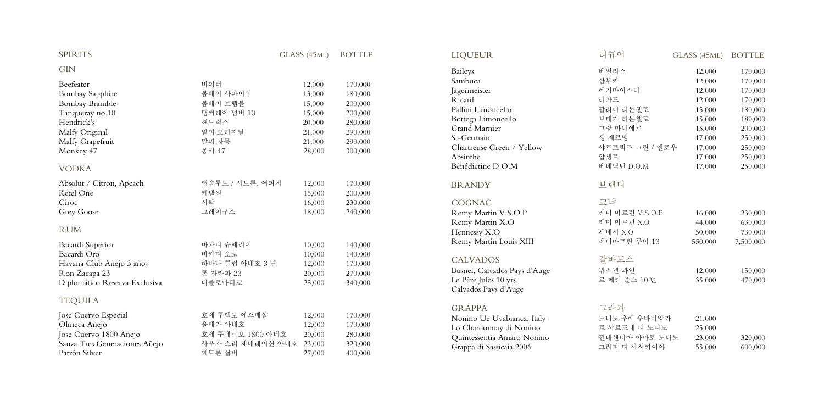| <b>SPIRITS</b>                                                                                                                                                      |                                                                                           | GLASS (45ML)                                                                 | <b>BOTTLE</b>                                                                        | <b>LIQUEUR</b>                                                                                                                                                                    | 리큐어                                                                                   | GLASS (45ML)                                    | <b>BOTTLE</b>                                         |
|---------------------------------------------------------------------------------------------------------------------------------------------------------------------|-------------------------------------------------------------------------------------------|------------------------------------------------------------------------------|--------------------------------------------------------------------------------------|-----------------------------------------------------------------------------------------------------------------------------------------------------------------------------------|---------------------------------------------------------------------------------------|-------------------------------------------------|-------------------------------------------------------|
| <b>GIN</b>                                                                                                                                                          |                                                                                           |                                                                              |                                                                                      | <b>Baileys</b>                                                                                                                                                                    | 베일리스                                                                                  | 12,000                                          | 170,000                                               |
| Beefeater<br><b>Bombay Sapphire</b><br>Bombay Bramble<br>Tanqueray no.10<br>Hendrick's                                                                              | 비피터<br>봄베이 사파이어<br>봄베이 브램블<br>탱커레이 넘버 10<br>핸드릭스                                          | 12,000<br>13,000<br>15,000<br>15,000<br>20,000                               | 170,000<br>180,000<br>200,000<br>200,000<br>280,000                                  | Sambuca<br>Jägermeister<br>Ricard<br>Pallini Limoncello<br>Bottega Limoncello                                                                                                     | 삼부카<br>예거마이스터<br>리카드<br>팔리니 리몬첼로<br>보테가 리몬첼로                                          | 12,000<br>12,000<br>12,000<br>15,000<br>15,000  | 170,000<br>170,000<br>170,000<br>180,000<br>180,000   |
| Malfy Original<br>Malfy Grapefruit<br>Monkey 47<br><b>VODKA</b>                                                                                                     | 말피 오리지날<br>말피 자몽<br>몽키 47                                                                 | 21,000<br>21,000<br>28,000                                                   | 290,000<br>290,000<br>300,000                                                        | Grand Marnier<br>St-Germain<br>Chartreuse Green / Yellow<br>Absinthe<br>Bénédictine D.O.M                                                                                         | 그랑 마니에르<br>생 제르맹<br>샤르트뢰즈 그린 / 옐로우<br>압생트<br>베네딕틴 D.O.M                               | 15,000<br>17,000<br>17,000<br>17,000<br>17,000  | 200,000<br>250,000<br>250,000<br>250,000<br>250,000   |
| Absolut / Citron, Apeach<br>Ketel One<br>Ciroc<br><b>Grey Goose</b><br><b>RUM</b><br>Bacardi Superior<br>Bacardi Oro<br>Havana Club Añejo 3 años<br>Ron Zacapa 23   | 앱솔루트 / 시트론, 어피치<br>케텔원<br>시락<br>그레이구스<br>바카디 슈페리어<br>바카디 오로<br>하바나 클럽 아네호 3 년<br>론 자카파 23 | 12,000<br>15,000<br>16,000<br>18,000<br>10,000<br>10,000<br>12,000<br>20,000 | 170,000<br>200,000<br>230,000<br>240,000<br>140,000<br>140,000<br>170,000<br>270,000 | <b>BRANDY</b><br><b>COGNAC</b><br>Remy Martin V.S.O.P<br>Remy Martin X.O<br>Hennessy X.O<br>Remy Martin Louis XIII<br><b>CALVADOS</b><br>Busnel, Calvados Pays d'Auge             | 브랜디<br>코냑<br>레미 마르틴 V.S.O.P<br>레미 마르틴 X.O<br>헤네시 X.O<br>레미마르틴 루이 13<br>칼바도스<br>뷔스넬 파인 | 16,000<br>44,000<br>50,000<br>550,000<br>12,000 | 230,000<br>630,000<br>730,000<br>7,500,000<br>150,000 |
| Diplomático Reserva Exclusiva<br><b>TEQUILA</b><br>Jose Cuervo Especial<br>Olmeca Añejo<br>Jose Cuervo 1800 Añejo<br>Sauza Tres Generaciones Añejo<br>Patrón Silver | 디플로마티코<br>호세 쿠엘보 에스페샬<br>올메카 아네호<br>호세 쿠에르보 1800 아네호<br>사우자 스리 제네레이션 아네호<br>페트론 실버        | 25,000<br>12,000<br>12,000<br>20,000<br>23,000<br>27,000                     | 340,000<br>170,000<br>170,000<br>280,000<br>320,000<br>400,000                       | Le Père Jules 10 yrs,<br>Calvados Pays d'Auge<br><b>GRAPPA</b><br>Nonino Ue Uvabianca, Italy<br>Lo Chardonnay di Nonino<br>Quintessentia Amaro Nonino<br>Grappa di Sassicaia 2006 | 르 페레 줄스 10 년<br>그라파<br>노니노 우에 우바비앙카<br>로 샤르도네 디 노니노<br>낀테센띠아 아마로 노니노<br>그라파 디 사시카이야   | 35,000<br>21,000<br>25,000<br>23,000<br>55,000  | 470,000<br>320,000<br>600,000                         |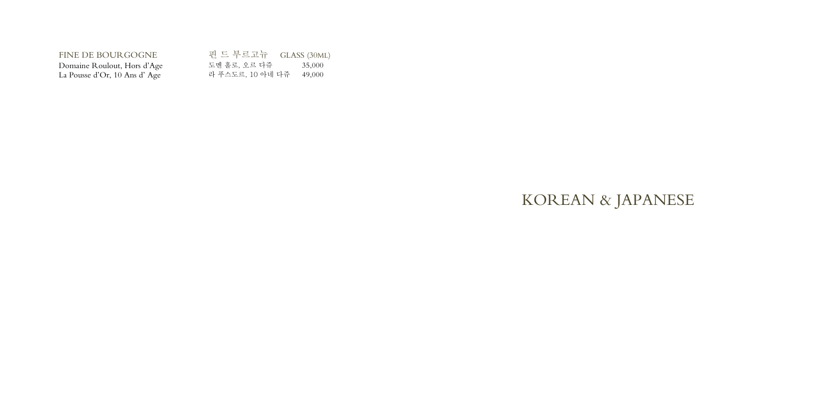| FINE DE BOURGOGNE            | 핀 드 부르고뉴 - GLASS (30ML) |        |
|------------------------------|-------------------------|--------|
| Domaine Roulout, Hors d'Age  | 도멘 홀로, 오르 다쥬            | 35,000 |
| La Pousse d'Or, 10 Ans d'Age | 라 푸스도르, 10 아네 다쥬        | 49,000 |

# KOREAN & JAPANESE